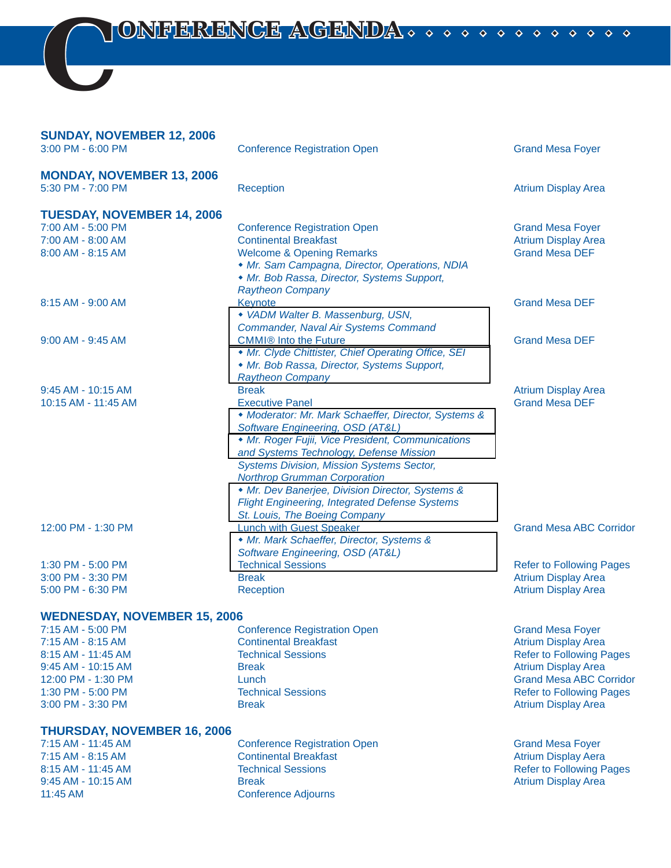*C ONFERENCE AGENDA NFERENCE AGENDA* 

### **SUNDAY, NOVEMBER 12, 2006**

| <b>Conference Registration Open</b>                                                                                                                                                                                                                                                                                                                                                                                        | <b>Grand Mesa Foyer</b>                                                                                                                                                |
|----------------------------------------------------------------------------------------------------------------------------------------------------------------------------------------------------------------------------------------------------------------------------------------------------------------------------------------------------------------------------------------------------------------------------|------------------------------------------------------------------------------------------------------------------------------------------------------------------------|
| <b>Reception</b>                                                                                                                                                                                                                                                                                                                                                                                                           | <b>Atrium Display Area</b>                                                                                                                                             |
|                                                                                                                                                                                                                                                                                                                                                                                                                            |                                                                                                                                                                        |
| <b>Conference Registration Open</b>                                                                                                                                                                                                                                                                                                                                                                                        | <b>Grand Mesa Foyer</b>                                                                                                                                                |
| <b>Continental Breakfast</b>                                                                                                                                                                                                                                                                                                                                                                                               | <b>Atrium Display Area</b>                                                                                                                                             |
| <b>Welcome &amp; Opening Remarks</b><br>• Mr. Sam Campagna, Director, Operations, NDIA<br>• Mr. Bob Rassa, Director, Systems Support,                                                                                                                                                                                                                                                                                      | <b>Grand Mesa DEF</b>                                                                                                                                                  |
| Keynote<br>• VADM Walter B. Massenburg, USN,                                                                                                                                                                                                                                                                                                                                                                               | <b>Grand Mesa DEF</b>                                                                                                                                                  |
| <b>CMMI®</b> Into the Future<br>• Mr. Clyde Chittister, Chief Operating Office, SEI<br>• Mr. Bob Rassa, Director, Systems Support,                                                                                                                                                                                                                                                                                         | <b>Grand Mesa DEF</b>                                                                                                                                                  |
| <b>Break</b>                                                                                                                                                                                                                                                                                                                                                                                                               | <b>Atrium Display Area</b>                                                                                                                                             |
| <b>Executive Panel</b><br>• Moderator: Mr. Mark Schaeffer, Director, Systems &<br>Software Engineering, OSD (AT&L)<br>• Mr. Roger Fujii, Vice President, Communications<br>and Systems Technology, Defense Mission<br><b>Systems Division, Mission Systems Sector,</b><br><b>Northrop Grumman Corporation</b><br>• Mr. Dev Banerjee, Division Director, Systems &<br><b>Flight Engineering, Integrated Defense Systems</b> | <b>Grand Mesa DEF</b>                                                                                                                                                  |
| <b>Lunch with Guest Speaker</b><br>• Mr. Mark Schaeffer, Director, Systems &                                                                                                                                                                                                                                                                                                                                               | <b>Grand Mesa ABC Corridor</b>                                                                                                                                         |
| <b>Technical Sessions</b>                                                                                                                                                                                                                                                                                                                                                                                                  | <b>Refer to Following Pages</b>                                                                                                                                        |
| <b>Break</b>                                                                                                                                                                                                                                                                                                                                                                                                               | <b>Atrium Display Area</b>                                                                                                                                             |
| Reception                                                                                                                                                                                                                                                                                                                                                                                                                  | <b>Atrium Display Area</b>                                                                                                                                             |
|                                                                                                                                                                                                                                                                                                                                                                                                                            | <b>Raytheon Company</b><br><b>Commander, Naval Air Systems Command</b><br><b>Raytheon Company</b><br>St. Louis, The Boeing Company<br>Software Engineering, OSD (AT&L) |

#### **WEDNESDAY, NOVEMBER 15, 2006**

| 7:15 AM - 5:00 PM    |
|----------------------|
| 7:15 AM - 8:15 AM    |
| 8:15 AM - 11:45 AM   |
| $9:45$ AM - 10:15 AM |
| 12:00 PM - 1:30 PM   |
| 1:30 PM - 5:00 PM    |
| 3:00 PM - 3:30 PM    |
|                      |

#### **THURSDAY, NOVEMBER 16, 2006**

7:15 AM - 11:45 AM Conference Registration Open Grand Mesa Foyer 7:15 AM - 8:15 AM Continental Breakfast<br>
8:15 AM - 11:45 AM Continental Breakfast<br>
Refer to Following P 8:15 AM - 11:45 AM **Technical Sessions Refer to Following Pages** Refer to Following Pages 9:45 AM - 10:15 AM Break Break Break Atrium Display Area 11:45 AM Conference Adjourns

**7:15 Conference Registration Open Grand Mesa Foyer Grand Mesa Foyer 7:15 Continental Breakfast Atrium Display Area** Technical Sessions **11:45 AM 2012 AM 2013 AM 2013 AM 2013 AM 2014 AM 2015 AM 2015 AM 2015 AM 2015 AM 2015 AM 2015 AM 2015 AM 2016 AM 2016 AM 2016 AM 2016 AM 2016 AM 2016 AM 2016 AM 2016 AM 2016 AM 2016 AM 2016 AM 2016 AM 2** Break **Break Atrium Display Area** Atrium Display Area 12:00 PM - 1:30 PM Lunch Grand Mesa ABC Corridor **1:30 PM - 5:00 PM - 5:00 PM - 5:00 PM - 5:00 PM - 5:00 PM - 5:00 PM - 5:00 PM - 5:00 PM - 5:00 PM - 5:00 PM - 5:00 PM - 5:00 PM - 5:00 PM - 5:00 PM - 5:00 PM - 5:00 PM - 5:00 PM - 5:00 PM - 5:00 PM - 5:00 PM - 5:00 PM - 5** Break **Break Atrium Display Area** Atrium Display Area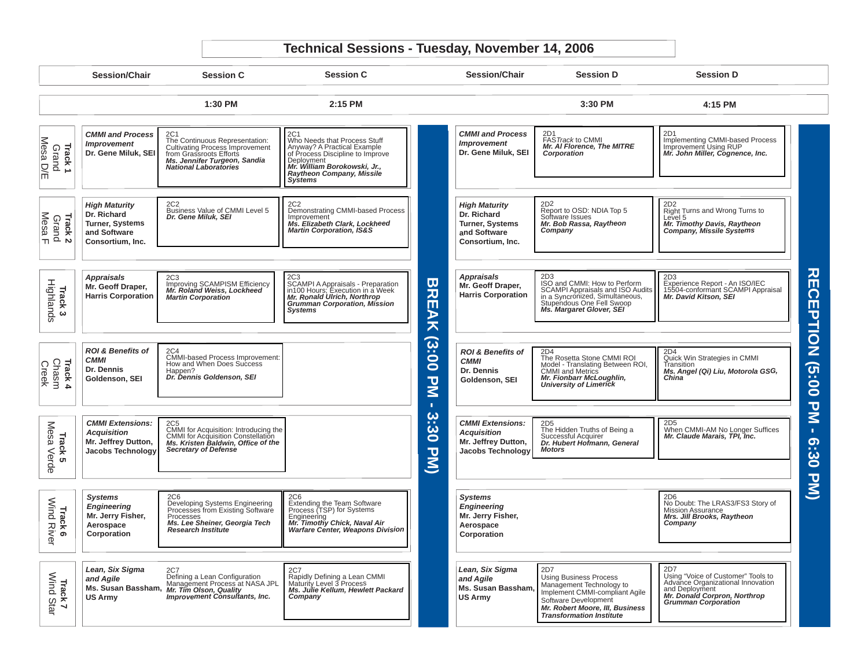# **Technical Sessions - Tuesday, November 14, 2006**

|                                          | <b>Session/Chair</b>                                                                              | <b>Session C</b>                                                                                                                                                           | <b>Session C</b>                                                                                                                                                                             |                                    | <b>Session/Chair</b>                                                                              | <b>Session D</b>                                                                                                                                                                                 | <b>Session D</b>                                                                                                                                        |                                       |
|------------------------------------------|---------------------------------------------------------------------------------------------------|----------------------------------------------------------------------------------------------------------------------------------------------------------------------------|----------------------------------------------------------------------------------------------------------------------------------------------------------------------------------------------|------------------------------------|---------------------------------------------------------------------------------------------------|--------------------------------------------------------------------------------------------------------------------------------------------------------------------------------------------------|---------------------------------------------------------------------------------------------------------------------------------------------------------|---------------------------------------|
|                                          |                                                                                                   | 1:30 PM                                                                                                                                                                    | 2:15 PM                                                                                                                                                                                      |                                    |                                                                                                   | 3:30 PM                                                                                                                                                                                          | 4:15 PM                                                                                                                                                 |                                       |
| Track 1<br>Grand<br>Mesa D/E             | <b>CMMI and Process</b><br><b>Improvement</b><br>Dr. Gene Miluk, SEI                              | 2C1<br>The Continuous Representation:<br><b>Cultivating Process Improvement</b><br>from Grassroots Efforts<br>Ms. Jennifer Turgeon, Sandia<br><b>National Laboratories</b> | Who Needs that Process Stuff<br>Anyway? A Practical Example<br>of Process Discipline to Improve<br>Deployment<br>Mr. William Borokowski, Jr.,<br>Raytheon Company, Missile<br><b>Systems</b> |                                    | <b>CMMI and Process</b><br><b>Improvement</b><br>Dr. Gene Miluk, SEI                              | FASTrack to CMMI<br>Mr. AI Florence, The MITRE<br>Corporation                                                                                                                                    | 2D1<br>Implementing CMMI-based Process<br>Improvement Using RUP<br>Mr. John Miller, Cognence, Inc.                                                      |                                       |
| <b>Track 2</b><br>Grand<br><u>Mesa F</u> | <b>High Maturity</b><br>Dr. Richard<br><b>Turner, Systems</b><br>and Software<br>Consortium, Inc. | 2C <sub>2</sub><br>Business Value of CMMI Level 5<br>Dr. Gene Miluk, SEI                                                                                                   | 2C <sub>2</sub><br>Demonstrating CMMI-based Process<br>Improvement<br>Ms. Elizabeth Clark, Lockheed<br><b>Martin Corporation, IS&amp;S</b>                                                   |                                    | <b>High Maturity</b><br>Dr. Richard<br><b>Turner, Systems</b><br>and Software<br>Consortium, Inc. | 2D2<br>Report to OSD: NDIA Top 5<br>Software Issues<br>Mr. Bob Rassa, Raytheon<br>Company                                                                                                        | 2D2<br>Right Turns and Wrong Turns to<br>Level 5<br>Mr. Timothy Davis, Raytheon<br>Company, Missile Systems                                             |                                       |
| Highlands<br>Track <sub>3</sub>          | <b>Appraisals</b><br>Mr. Geoff Draper.<br><b>Harris Corporation</b>                               | 2C <sub>3</sub><br>Improving SCAMPISM Efficiency<br>Mr. Roland Weiss, Lockheed<br><b>Martin Corporation</b>                                                                | 2C3<br>SCAMPI A Appraisals - Preparation<br>In100 Hours; Execution in a Week<br>Mr. Ronald Ulrich, Northrop<br>Gruntman Corporation, Mission<br><b>Systems</b>                               | $\overline{\mathbf{u}}$<br>河<br>УK | <b>Appraisals</b><br>Mr. Geoff Draper,<br><b>Harris Corporation</b>                               | 2D3<br>ISO and CMMI: How to Perform<br><b>SCAMPI Appraisals and ISO Audits</b><br>in a Syncronized, Simultaneous,<br>Stupendous One Fell Swoop<br>Ms. Margaret Glover, SEI                       | 2D3<br>Experience Report - An ISO/IEC<br>15504-conformant SCAMPI Appraisal<br>Mr. David Kitson, SEI                                                     | <b>RECEPTION</b>                      |
| Track 4<br>Chasm<br>Creek                | <b>ROI &amp; Benefits of</b><br><b>CMMI</b><br>Dr. Dennis<br>Goldenson, SEI                       | 2C4<br>CMMI-based Process Improvement:<br>How and When Does Success<br>Happen?<br>Dr. Dennis Goldenson, SEI                                                                |                                                                                                                                                                                              | (3:00<br>᠊ᠣ<br>⋚<br>$\mathbf{L}$   | <b>ROI &amp; Benefits of</b><br><b>CMMI</b><br>Dr. Dennis<br>Goldenson, SEI                       | 2D4<br>The Rosetta Stone CMMI ROI<br>Model - Translating Between ROI,<br><b>CMMI</b> and Metrics<br>Mr. Fionbarr McLoughlin,<br><b>University of Limerick</b>                                    | 2D4<br>Quick Win Strategies in CMMI<br>Transition<br>Ms. Angel (Qi) Liu, Motorola GSG,<br>China                                                         | 00:00                                 |
| Mesa<br><b>Track 5</b><br>Verde          | <b>CMMI Extensions:</b><br><b>Acauisition</b><br>Mr. Jeffrey Dutton,<br>Jacobs Technology         | 2C <sub>5</sub><br>CMMI for Acquisition: Introducing the<br>CMMI for Acquisition Constellation<br>Ms. Kristen Baldwin, Office of the<br><b>Secretary of Defense</b>        |                                                                                                                                                                                              | 3:30<br>$\mathbf{z}$               | <b>CMMI Extensions:</b><br><b>Acquisition</b><br>Mr. Jeffrey Dutton,<br>Jacobs Technology         | 2D5<br>The Hidden Truths of Being a<br>Successful Acquirer<br>Dr. Hubert Hofmann, General<br><b>Motors</b>                                                                                       | When CMMI-AM No Longer Suffices<br>Mr. Claude Marais, TPI, Inc.                                                                                         | $\mathbf{z}$<br>$\mathbf{L}$<br>02:30 |
| Wind River<br>Track<br>ၜ                 | <b>Systems</b><br><b>Engineering</b><br>Mr. Jerry Fisher,<br>Aerospace<br>Corporation             | <b>2C6</b><br>Developing Systems Engineering<br>Processes from Existing Software<br>Processes<br>Ms. Lee Sheiner, Georgia Tech<br><b>Research Institute</b>                | Extending the Team Software<br>Process (TSP) for Systems<br>Engineering<br>Mr. Timothy Chick, Naval Air<br><b>Warfare Center, Weapons Division</b>                                           |                                    | <b>Systems</b><br><b>Engineering</b><br>Mr. Jerry Fisher,<br>Aerospace<br>Corporation             |                                                                                                                                                                                                  | 2D6<br>No Doubt: The LRAS3/FS3 Story of<br>Mission Assurance<br>Mrs. Jill Brooks, Raytheon<br>Company                                                   | $\overline{\mathbf{z}}$               |
| Track 7<br>Wind Star                     | Lean, Six Sigma<br>and Agile<br><b>US Army</b>                                                    | 2C7<br>Defining a Lean Configuration<br>Management Process at NASA JPL<br>Ms. Susan Bassham, Mr. Tim Olson, Quality<br><b>Improvement Consultants, Inc.</b>                | Expidly Defining a Lean CMMI<br>Maturity Level 3 Process<br>Ms. Julie Kellum, Hewlett Packard<br>Company                                                                                     |                                    | Lean, Six Sigma<br>and Agile<br>Ms. Susan Bassham,<br><b>US Army</b>                              | 2D7<br><b>Using Business Process</b><br>Management Technology to<br>Implement CMMI-compliant Agile<br>Software Development<br>Mr. Robert Moore, III, Business<br><b>Transformation Institute</b> | Using "Voice of Customer" Tools to<br>Advance Organizational Innovation<br>and Deployment<br>Mr. Donald Corpron, Northrop<br><b>Grumman Corporation</b> |                                       |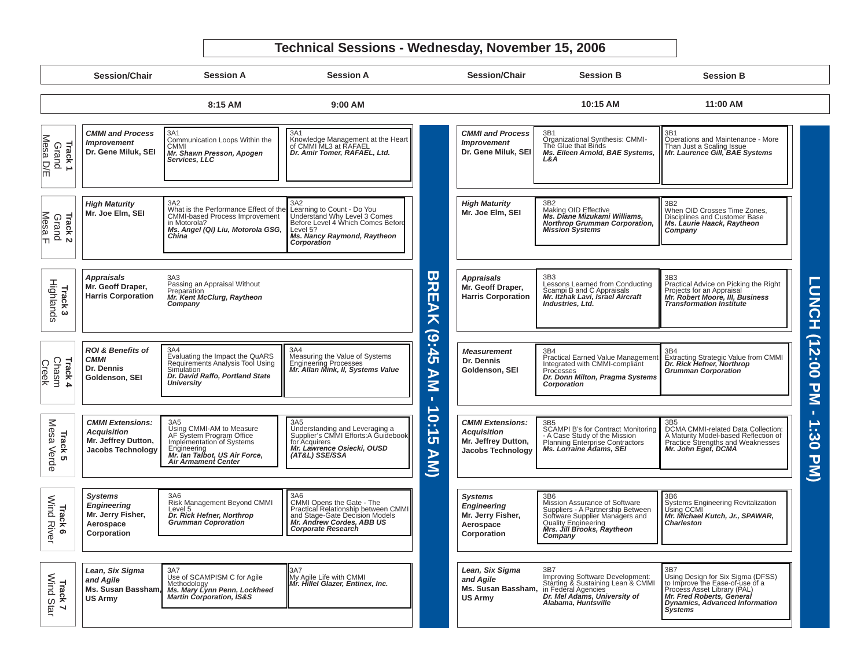# **Technical Sessions - Wednesday, November 15, 2006**

|                                          | <b>Session/Chair</b>                                                                      | <b>Session A</b>                                                                                                                                                                          | <b>Session A</b>                                                                                                                                                    |                                      | <b>Session/Chair</b>                                                                             | <b>Session B</b>                                                                                                                                                            | <b>Session B</b>                                                                                                                                                                                   |                                      |
|------------------------------------------|-------------------------------------------------------------------------------------------|-------------------------------------------------------------------------------------------------------------------------------------------------------------------------------------------|---------------------------------------------------------------------------------------------------------------------------------------------------------------------|--------------------------------------|--------------------------------------------------------------------------------------------------|-----------------------------------------------------------------------------------------------------------------------------------------------------------------------------|----------------------------------------------------------------------------------------------------------------------------------------------------------------------------------------------------|--------------------------------------|
|                                          |                                                                                           | 8:15 AM                                                                                                                                                                                   | 9:00 AM                                                                                                                                                             |                                      |                                                                                                  | 10:15 AM                                                                                                                                                                    | 11:00 AM                                                                                                                                                                                           |                                      |
| Mesa D/E<br><b>Track1</b><br>Grand       | <b>CMMI and Process</b><br><b>Improvement</b><br>Dr. Gene Miluk, SEI                      | 3A1<br>Communication Loops Within the<br><b>CMMI</b><br>Mr. Shawn Presson, Apogen<br>Services, LLC                                                                                        | 3A1<br>Knowledge Management at the Heart<br>of CMMI ML3 at RAFAEL<br>Dr. Amir Tomer, RAFAEL, Ltd.                                                                   |                                      | <b>CMMI and Process</b><br><b>Improvement</b><br>Dr. Gene Miluk, SEI                             | 3B1<br>Organizational Synthesis: CMMI-<br>The Glue that Binds<br>Ms. Eileen Arnold, BAE Systems,<br>L&A                                                                     | Operations and Maintenance - More<br>Than Just a Scaling Issue<br>Mr. Laurence Gill, BAE Systems                                                                                                   |                                      |
| <b>Track 2</b><br>Grand<br><u>Mesa F</u> | <b>High Maturity</b><br>Mr. Joe Elm, SEI                                                  | 3A <sub>2</sub><br>What is the Performance Effect of the<br><b>CMMI-based Process Improvement</b><br>in Motorola?<br>Ms. Angel (Qi) Liu, Motorola GSG,<br>China                           | 3A2<br>Learning to Count - Do You<br>Understand Why Level 3 Comes<br>Before Level 4 Which Comes Before<br>Level 5?<br>Ms. Nancy Raymond, Raytheon<br>Corporation    |                                      | <b>High Maturity</b><br>Mr. Joe Elm. SEI                                                         | Making OID Effective<br>Ms. Diane Mizukami Williams,<br><b>Northrop Grumman Corporation,</b><br><b>Mission Systems</b>                                                      | 3B2<br>When OID Crosses Time Zones,<br>Disciplines and Customer Base<br>Ms. Laurie Haack, Raytheon<br>Company                                                                                      |                                      |
| Highlands<br>Track <sub>3</sub>          | Appraisals<br>Mr. Geoff Draper,<br><b>Harris Corporation</b>                              | 3A3<br>Passing an Appraisal Without<br>Preparation<br>Mr. Kent McClurg, Raytheon<br>Company                                                                                               |                                                                                                                                                                     | ω<br>ー<br>一<br><b>AK</b>             | <b>Appraisals</b><br>Mr. Geoff Draper,<br><b>Harris Corporation</b>                              | 3B <sub>3</sub><br>Lessons Learned from Conducting<br>Scampi B and C Appraisals<br>Mr. Itzhak Lavi, Israel Aircraft<br>Industries, Ltd.                                     | 3B3<br>Practical Advice on Picking the Right<br>Projects for an Appraisal<br><i>Mr. Robert Moore, III, Business</i><br><b>Transformation Institute</b>                                             | <b>LUNCH</b>                         |
| <b>Track 4</b><br>Chasm<br>Creek         | <b>ROI &amp; Benefits of</b><br><b>CMMI</b><br>Dr. Dennis<br>Goldenson, SEI               | 3A4<br>Evaluating the Impact the QuARS<br>Requirements Analysis Tool Using<br>Simulation<br>Dr. David Raffo, Portland State<br><b>University</b>                                          | 3A4<br>Measuring the Value of Systems<br>Engineering Processes<br>Mr. Allan Mink, II, Systems Value                                                                 | (9:45)<br>AN<br>т.                   | <b>Measurement</b><br>Dr. Dennis<br>Goldenson, SEI                                               | 3B4<br>Practical Earned Value Management<br>Integrated with CMMI-compliant<br>Processes<br>Dr. Donn Milton, Pragma Systems<br>Corporation                                   | 3B4<br><sub>Du+</sub><br>Extracting Strategic Value from CMMI<br><i>Dr. Rick Hefner, Northrop</i><br>Gr <i>umman Corporation</i>                                                                   | (12:00]<br>$\overline{z}$            |
| Mesa Verde<br>Track<br><b>ທ</b>          | <b>CMMI Extensions:</b><br><b>Acquisition</b><br>Mr. Jeffrey Dutton,<br>Jacobs Technology | 3A <sub>5</sub><br>Using CMMI-AM to Measure<br>AF System Program Office<br>Implementation of Systems<br>Engineering<br><b>Mr. Ian Talbot, US Air Force,</b><br><b>Air Armament Center</b> | 3A <sub>5</sub><br>Understanding and Leveraging a<br>Supplier's CMMI Efforts: A Guidebook<br>for Acquirers<br>Mr. Lawrence Osiecki, OUSD<br>(AT&L) SSE/SSA          | 10:1<br>$\overline{c}$<br><b>AM)</b> | <b>CMMI Extensions:</b><br><b>Acquisition</b><br>Mr. Jeffrey Dutton,<br><b>Jacobs Technology</b> | SCAMPI B's for Contract Monitoring<br>- A Case Study of the Mission<br>Planning Enterprise Contractors<br>Ms. Lorraine Adams, SEI                                           | DCMA CMMI-related Data Collection:<br>A Maturity Model-based Reflection of<br>Practice Strengths and Weaknesses<br>Mr. John Eget, DCMA                                                             | $\mathbf{L}$<br>1:30<br>$\mathbf{z}$ |
| Track 6<br>Wind River                    | <b>Systems</b><br><b>Engineering</b><br>Mr. Jerry Fisher,<br>Aerospace<br>Corporation     | 3A6<br>Risk Management Beyond CMMI<br>Level 5<br>Dr. Rick Hefner. Northrop<br><b>Grumman Coproration</b>                                                                                  | 3A6<br>CMMI Opens the Gate - The<br>Practical Relationship between CMMI<br>and Stage-Gate Decision Models<br>Mr. Andrew Cordes, ABB US<br><b>Corporate Research</b> |                                      | <b>Systems</b><br><b>Engineering</b><br>Mr. Jerry Fisher,<br>Aerospace<br>Corporation            | 3B6<br>Mission Assurance of Software<br>Suppliers - A Partnership Between<br>Software Supplier Managers and<br>Quality Engineering<br>Mrs. Jill Brooks, Raytheon<br>Company | 3B6<br>Systems Engineering Revitalization<br>Using CCMI<br>Mr. Michael Kutch, Jr., SPAWAR,<br><b>Charleston</b>                                                                                    |                                      |
| Track 7<br>Wind Star                     | Lean, Six Sigma<br>and Agile<br>Ms. Susan Bassham,<br><b>US Army</b>                      | <b>SALLAN COMPISM C for Agile<br/>Methodology<br/>Ms. Mary Lynn Penn, Lockheed<br/>Martin Corporation, IS&amp;S</b>                                                                       | My Agile Life with CMMI<br>Mr. Hillel Glazer, Entinex, Inc.                                                                                                         |                                      | Lean, Six Sigma<br>and Agile<br>Ms. Susan Bassham,<br><b>US Army</b>                             | 3B7<br>Umproving Software Development:<br>Starting & Sustaining Lean & CMMI<br>in Federal Agencies<br>Dr. Mel Adams, University of<br>Alabama, Huntsville                   | 3B7<br>Using Design for Six Sigma (DFSS)<br>to Improve the Ease-of-use of a<br>Process Asset Library (PAL)<br>Mr. Fred Roberts, General<br><b>Dynamics, Advanced Information</b><br><b>Systems</b> |                                      |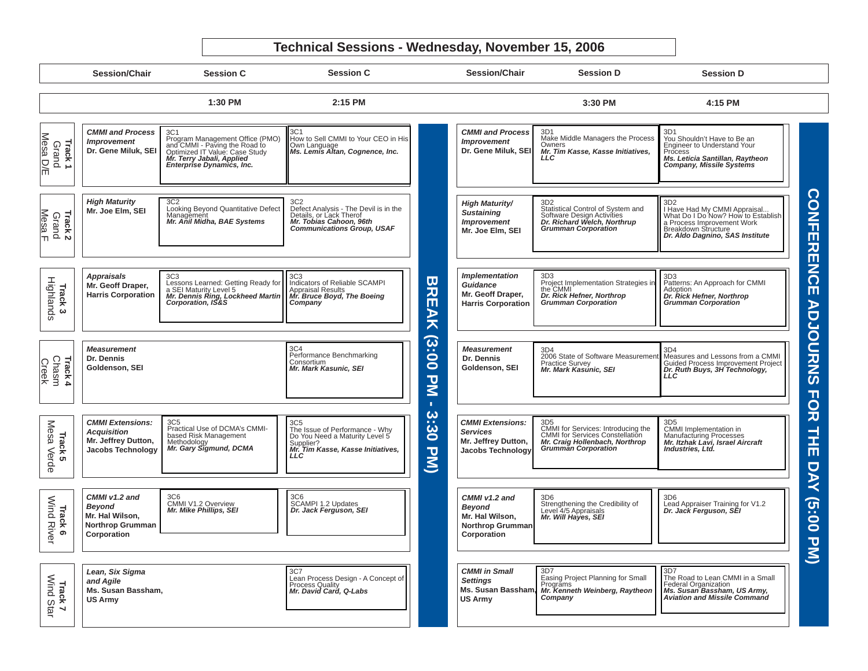#### **Technical Sessions - Wednesday, November 15, 2006**

**Session/ChairSession C Session C Session D Session DSession/Chair1:30 PM 4:15 PM 2:15 PM 3:30 PM**3D1*CMMI and Process* 3C13C1*CMMI and Process* 3D1**Track 1** Mesa D/E Program Management Office (PMO) How to Sell CMMI to Your CEO in His Make Middle Managers the Process<br>Owners You Shouldn't Have to Be an *Improvement Improvement* wind River Change ( Sind River Change ) and Mindustry ( Sind River Grand ) and Highlands ( ) Chasma ( Messare ) Program Management Office (PMO) - Paving the Road to Optimized IT Value: Case Study *Mr. Terry Jabali, Applied* Enterprise Dynamics, Inc. Own Language *[Ms. Lemis Altan, Cognence, Inc.](www.dtic.mil/ndia/2006cmmi/wednesday/3C1_Altan.pdf)*  Engineer to Understand Your<br>Process **Dr. Gene Miluk, SEI Dr. Gene Miluk, SEI**  *Mr. Tim Kasse, Kasse Initiatives,*  Process<br>Ms. Leticia Santillan, Raytheon *LLC[Ms. Leticia Santillan, Raytheon Company, Missile Systems](www.dtic.mil/ndia/2006cmmi/wednesday/3D1_Santillan.pdf)* High Materials (2013) Control (2014) Control of the Control of the Control of the Control of the Control of the Control of the Control of the Control of the Control of the Control of the Control of the Control of the Cont **CON** *High Maturity* 3C2*High Maturity/* 3D23D23C2 [Looking Beyond Quantitative Defect Management](www.dtic.mil/ndia/2006cmmi/wednesday/3C2_Midha.pdf) *Mr. Anil Midha, BAE Systems* Defect Analysis - The Devil is in the<br>Details, or Lack Therof Statistical Control of System and<br>Software Design Activities<br>*Dr. Richard Welch, Northrup<br>Grumman Corporation* I Have Had My CMMI Appraisal...<br>What Do I Do Now? How to Establish **Mr. Joe Elm, SEI**  *Sustaining*  Mesa F Grand **Track 2** *Mr. Tobias Cahoon, 96th Improvement* a Process Improvement Work<br>Breakdown Structure<br>*Dr. Aldo Dagnino, SAS Institute Communications Group, USAF* **FERENCE Mr. Joe Elm, SEI**  *Implementation*  3D33D3*Appraisals* 3C33C3**BREAK (3** Highlands Patterns: An Approach for CMMI Lessons Learned: Getting Ready for Indicators of Reliable SCAMPI Project Implementation Strategies in<br>the CMMI **Track 3 Mr. Geoff Draper,**  *Guidance*Appraisal Results *[Mr. Bruce Boyd, The Boeing Company](www.dtic.mil/ndia/2006cmmi/wednesday/3C3_Boyd.pdf)* [Patterns: An Approach for CMMI Adoption](www.dtic.mil/ndia/2006cmmi/wednesday/3D3_Hefner2.pdf) *Dr. Rick Hefner, Northrop Grumman Corporation* a SEI Maturity Level 5<br> **Mr. Dennis Ring, Lockheed Martin Corporation, IS&S Harris Corporation Mr. Geoff Draper,**  Dr. Rick Hefner, Northrop *Dr. Rick Hefner, Northrop Grumman Corporation* **Harris Corporation ADJOU** *Measurement*3C43D4**(3:00**  *Measurement*3D4Performance Benchmarking<br>Consortium **Dr. Dennis Dr. Dennis**  [2006 State of Software Measurement](www.dtic.mil/ndia/2006cmmi/wednesday/3D4_Kasunic.pdf)  Measures and Lessons from a CMMI **RNS**  Creek Chasm **Track 4** Practice Survey *Mr. Mark Kasunic, SEI* Guided Process Improvement Project *[Dr. Ruth Buys, 3H Technology, LLC](www.dtic.mil/ndia/2006cmmi/wednesday/3D4_Buys.pdf)***Goldenson, SEI Goldenson, SEI** *Mr. Mark Kasunic, SEI* **PM FOR - 3:30**  Mesa *CMMI Extensions:* 3C5Mesa Verde 3D5 The Issue of Performance - Why<br>Do You Need a Maturity Level 5<br>Supplier?<br>*Mr. Tim Kasse, Kasse Initiatives,* **TH Track 5**<br>lesa Verde *Services*Manufacturing Processes<br>*Mr. Itzhak Lavi, Israel Aircraft* **Mr. Jeffrey Dutton, PM) Jacobs Technology**  *Industries, Ltd.* **E**  *LLC***DAY Track 6**<br>Wind River *CMMI v1.2 and CMMI v1.2 and* 3C6 CMMI V1.2 Overview3C6 SCAMPI 1.2 Updates *[Dr. Jack Ferguson, SEI](www.dtic.mil/ndia/2006cmmi/wednesday/3C6_Ferguson.pdf)* 3D6<br>Strengthening the Credibility of<br>Level 4/5 Appraisals<br>*Mr. Will Hayes, SEI* 3D6 [Lead Appraiser Training for V1.2](www.dtic.mil/ndia/2006cmmi/wednesday/3D6_Ferguson.pdf) *Dr. Jack Ferguson, SEI* **(5:00**  *Beyond Beyond [Mr. Mike Phillips, SEI](www.dtic.mil/ndia/2006cmmi/wednesday/3C6_Phillips.pdf)* **Mr. Hal Wilson, Mr. Hal Wilson, Northrop Grumman Northrop Grumman Corporation Corporation** 3D7*Lean, Six Sigma*  3D73C7*CMMI in Small*  Easing Project Planning for Small The Road to Lean CMMI in a Small **Track 7** Wind StarLean Process Design - A Concept of<br>Process Quality<br>*Mr. David Card, Q-Labs Settings and Agile* Programs<br> *[Mr. Kenneth Weinberg, Raytheon Company](www.dtic.mil/ndia/2006cmmi/wednesday/3D7_Weinberg.pdf)* Federal Organization *[Ms. Susan Bassham, US Army, Aviation and Missile Command](www.dtic.mil/ndia/2006cmmi/wednesday/3D7_Bassham.pdf)***Ms. Susan Bassham, Ms. Susan Bassham, US Army US Army**